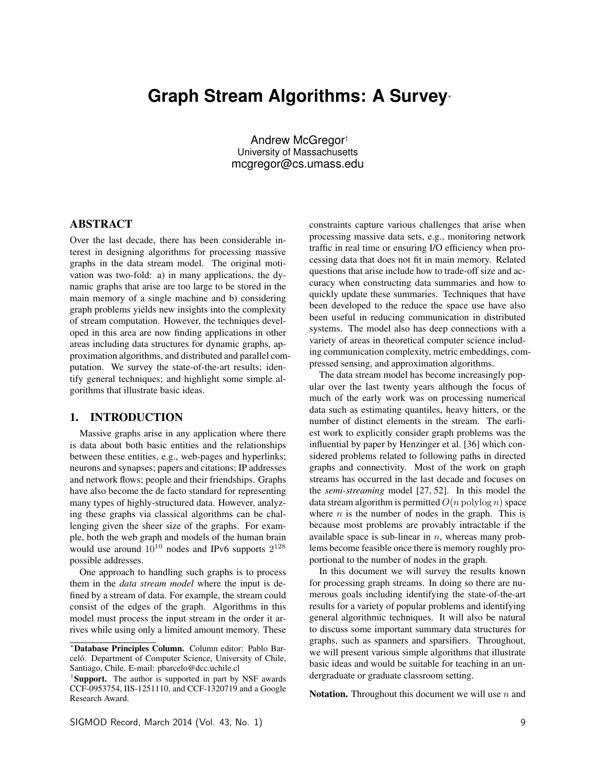# **Graph Stream Algorithms: A Survey**<sup>∗</sup>

Andrew McGregor† University of Massachusetts mcgregor@cs.umass.edu

# ABSTRACT

Over the last decade, there has been considerable interest in designing algorithms for processing massive graphs in the data stream model. The original motivation was two-fold: a) in many applications, the dynamic graphs that arise are too large to be stored in the main memory of a single machine and b) considering graph problems yields new insights into the complexity of stream computation. However, the techniques developed in this area are now finding applications in other areas including data structures for dynamic graphs, approximation algorithms, and distributed and parallel computation. We survey the state-of-the-art results; identify general techniques; and highlight some simple algorithms that illustrate basic ideas.

# 1. INTRODUCTION

Massive graphs arise in any application where there is data about both basic entities and the relationships between these entities, e.g., web-pages and hyperlinks; neurons and synapses; papers and citations; IP addresses and network flows; people and their friendships. Graphs have also become the de facto standard for representing many types of highly-structured data. However, analyzing these graphs via classical algorithms can be challenging given the sheer size of the graphs. For example, both the web graph and models of the human brain would use around  $10^{10}$  nodes and IPv6 supports  $2^{128}$ possible addresses.

One approach to handling such graphs is to process them in the *data stream model* where the input is defined by a stream of data. For example, the stream could consist of the edges of the graph. Algorithms in this model must process the input stream in the order it arrives while using only a limited amount memory. These constraints capture various challenges that arise when processing massive data sets, e.g., monitoring network traffic in real time or ensuring I/O efficiency when processing data that does not fit in main memory. Related questions that arise include how to trade-off size and accuracy when constructing data summaries and how to quickly update these summaries. Techniques that have been developed to the reduce the space use have also been useful in reducing communication in distributed systems. The model also has deep connections with a variety of areas in theoretical computer science including communication complexity, metric embeddings, compressed sensing, and approximation algorithms.

The data stream model has become increasingly popular over the last twenty years although the focus of much of the early work was on processing numerical data such as estimating quantiles, heavy hitters, or the number of distinct elements in the stream. The earliest work to explicitly consider graph problems was the influential by paper by Henzinger et al. [36] which considered problems related to following paths in directed graphs and connectivity. Most of the work on graph streams has occurred in the last decade and focuses on the *semi-streaming* model [27, 52]. In this model the data stream algorithm is permitted  $O(n \text{ polylog } n)$  space where  $n$  is the number of nodes in the graph. This is because most problems are provably intractable if the available space is sub-linear in  $n$ , whereas many problems become feasible once there is memory roughly proportional to the number of nodes in the graph.

In this document we will survey the results known for processing graph streams. In doing so there are numerous goals including identifying the state-of-the-art results for a variety of popular problems and identifying general algorithmic techniques. It will also be natural to discuss some important summary data structures for graphs, such as spanners and sparsifiers. Throughout, we will present various simple algorithms that illustrate basic ideas and would be suitable for teaching in an undergraduate or graduate classroom setting.

Notation. Throughout this document we will use  $n$  and

<sup>∗</sup>Database Principles Column. Column editor: Pablo Barceló. Department of Computer Science, University of Chile, Santiago, Chile. E-mail: pbarcelo@dcc.uchile.cl

<sup>†</sup> Support. The author is supported in part by NSF awards CCF-0953754, IIS-1251110, and CCF-1320719 and a Google Research Award.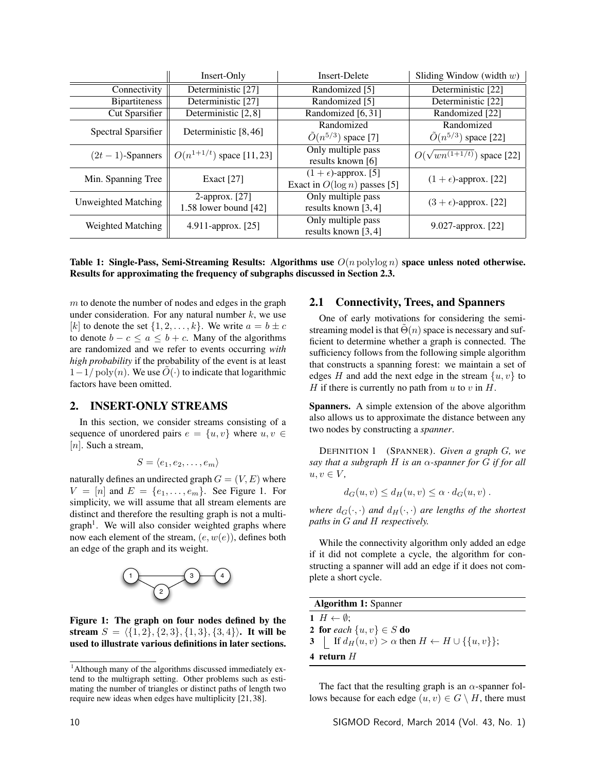|                       | Insert-Only                    | Insert-Delete                   | Sliding Window (width $w$ )         |  |
|-----------------------|--------------------------------|---------------------------------|-------------------------------------|--|
| Connectivity          | Deterministic [27]             | Randomized [5]                  | Deterministic [22]                  |  |
| <b>B</b> ipartiteness | Deterministic [27]             | Randomized [5]                  | Deterministic [22]                  |  |
| Cut Sparsifier        | Deterministic [2,8]            | Randomized [6,31]               | Randomized [22]                     |  |
|                       |                                | Randomized                      | Randomized                          |  |
| Spectral Sparsifier   | Deterministic [8,46]           | $\tilde{O}(n^{5/3})$ space [7]  | $\tilde{O}(n^{5/3})$ space [22]     |  |
| $(2t-1)$ -Spanners    | $  O(n^{1+1/t})$ space [11,23] | Only multiple pass              | $O(\sqrt{wn^{(1+1/t)}})$ space [22] |  |
|                       |                                | results known [6]               |                                     |  |
| Min. Spanning Tree    | Exact $[27]$                   | $(1 + \epsilon)$ -approx. [5]   | $(1+\epsilon)$ -approx. [22]        |  |
|                       |                                | Exact in $O(\log n)$ passes [5] |                                     |  |
| Unweighted Matching   | 2-approx. [27]                 | Only multiple pass              | $(3 + \epsilon)$ -approx. [22]      |  |
|                       | 1.58 lower bound $[42]$        | results known $[3,4]$           |                                     |  |
| Weighted Matching     | 4.911-approx. $[25]$           | Only multiple pass              | 9.027-approx. [22]                  |  |
|                       |                                | results known $[3,4]$           |                                     |  |

Table 1: Single-Pass, Semi-Streaming Results: Algorithms use  $O(n \text{ polylog } n)$  space unless noted otherwise. Results for approximating the frequency of subgraphs discussed in Section 2.3.

 $m$  to denote the number of nodes and edges in the graph under consideration. For any natural number  $k$ , we use [k] to denote the set  $\{1, 2, \ldots, k\}$ . We write  $a = b \pm c$ to denote  $b - c \le a \le b + c$ . Many of the algorithms are randomized and we refer to events occurring *with high probability* if the probability of the event is at least  $1-1/\text{poly}(n)$ . We use  $O(\cdot)$  to indicate that logarithmic factors have been omitted.

# 2. INSERT-ONLY STREAMS

In this section, we consider streams consisting of a sequence of unordered pairs  $e = \{u, v\}$  where  $u, v \in$ [n]. Such a stream,

$$
S = \langle e_1, e_2, \dots, e_m \rangle
$$

naturally defines an undirected graph  $G = (V, E)$  where  $V = [n]$  and  $E = \{e_1, \ldots, e_m\}$ . See Figure 1. For simplicity, we will assume that all stream elements are distinct and therefore the resulting graph is not a multi $graph<sup>1</sup>$ . We will also consider weighted graphs where now each element of the stream,  $(e, w(e))$ , defines both an edge of the graph and its weight.



Figure 1: The graph on four nodes defined by the stream  $S = \langle \{1, 2\}, \{2, 3\}, \{1, 3\}, \{3, 4\}\rangle$ . It will be used to illustrate various definitions in later sections.

### 2.1 Connectivity, Trees, and Spanners

One of early motivations for considering the semistreaming model is that  $\Theta(n)$  space is necessary and sufficient to determine whether a graph is connected. The sufficiency follows from the following simple algorithm that constructs a spanning forest: we maintain a set of edges H and add the next edge in the stream  $\{u, v\}$  to H if there is currently no path from  $u$  to  $v$  in  $H$ .

Spanners. A simple extension of the above algorithm also allows us to approximate the distance between any two nodes by constructing a *spanner*.

DEFINITION 1 (SPANNER). *Given a graph* G*, we say that a subgraph* H *is an* α*-spanner for* G *if for all*  $u, v \in V$ ,

$$
d_G(u, v) \le d_H(u, v) \le \alpha \cdot d_G(u, v) .
$$

*where*  $d_G(\cdot, \cdot)$  *and*  $d_H(\cdot, \cdot)$  *are lengths of the shortest paths in* G *and* H *respectively.*

While the connectivity algorithm only added an edge if it did not complete a cycle, the algorithm for constructing a spanner will add an edge if it does not complete a short cycle.

| <b>Algorithm 1: Spanner</b>                                          |
|----------------------------------------------------------------------|
| $1 H \leftarrow \emptyset;$                                          |
| 2 for each $\{u, v\} \in S$ do                                       |
| 3   If $d_H(u, v) > \alpha$ then $H \leftarrow H \cup \{\{u, v\}\};$ |
| 4 return $H$                                                         |

The fact that the resulting graph is an  $\alpha$ -spanner follows because for each edge  $(u, v) \in G \setminus H$ , there must

<sup>&</sup>lt;sup>1</sup>Although many of the algorithms discussed immediately extend to the multigraph setting. Other problems such as estimating the number of triangles or distinct paths of length two require new ideas when edges have multiplicity [21, 38].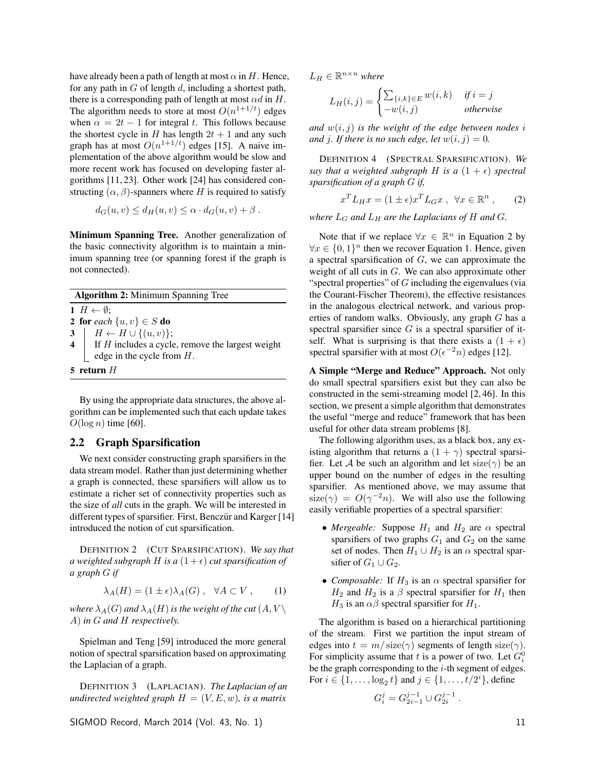have already been a path of length at most  $\alpha$  in H. Hence, for any path in  $G$  of length  $d$ , including a shortest path, there is a corresponding path of length at most  $\alpha d$  in H. The algorithm needs to store at most  $O(n^{1+1/t})$  edges when  $\alpha = 2t - 1$  for integral t. This follows because the shortest cycle in H has length  $2t + 1$  and any such graph has at most  $O(n^{1+1/t})$  edges [15]. A naive implementation of the above algorithm would be slow and more recent work has focused on developing faster algorithms [11, 23]. Other work [24] has considered constructing  $(\alpha, \beta)$ -spanners where H is required to satisfy

$$
d_G(u, v) \le d_H(u, v) \le \alpha \cdot d_G(u, v) + \beta.
$$

Minimum Spanning Tree. Another generalization of the basic connectivity algorithm is to maintain a minimum spanning tree (or spanning forest if the graph is not connected).

| <b>Algorithm 2:</b> Minimum Spanning Tree              |  |  |  |  |
|--------------------------------------------------------|--|--|--|--|
| $1 H \leftarrow \emptyset;$                            |  |  |  |  |
| 2 for each $\{u, v\} \in S$ do                         |  |  |  |  |
| $\mathbf{3} \mid H \leftarrow H \cup \{(u, v)\};$      |  |  |  |  |
| 4   If $H$ includes a cycle, remove the largest weight |  |  |  |  |
| edge in the cycle from $H$ .                           |  |  |  |  |
| 5  return $H$                                          |  |  |  |  |
|                                                        |  |  |  |  |

By using the appropriate data structures, the above algorithm can be implemented such that each update takes  $O(\log n)$  time [60].

# 2.2 Graph Sparsification

We next consider constructing graph sparsifiers in the data stream model. Rather than just determining whether a graph is connected, these sparsifiers will allow us to estimate a richer set of connectivity properties such as the size of *all* cuts in the graph. We will be interested in different types of sparsifier. First, Benczür and Karger [14] introduced the notion of cut sparsification.

DEFINITION 2 (CUT SPARSIFICATION). *We say that a* weighted subgraph H is a  $(1 + \epsilon)$  *cut sparsification of a graph* G *if*

$$
\lambda_A(H) = (1 \pm \epsilon) \lambda_A(G) , \quad \forall A \subset V , \qquad (1)
$$

*where*  $\lambda_A(G)$  *and*  $\lambda_A(H)$  *is the weight of the cut*  $(A, V \setminus$ A) *in* G *and* H *respectively.*

Spielman and Teng [59] introduced the more general notion of spectral sparsification based on approximating the Laplacian of a graph.

DEFINITION 3 (LAPLACIAN). *The Laplacian of an undirected weighted graph*  $H = (V, E, w)$ *, is a matrix* 

SIGMOD Record, March 2014 (Vol. 43, No. 1) 11 12 12 12 12 12 13 14 14 15 16 17 18 19 19 10 11 11 11 11 11 11 1

 $L_H \in \mathbb{R}^{n \times n}$  where

$$
L_H(i,j) = \begin{cases} \sum_{\{i,k\} \in E} w(i,k) & \text{if } i = j \\ -w(i,j) & \text{otherwise} \end{cases}
$$

*and*  $w(i, j)$  *is the weight of the edge between nodes i and j.* If there is no such edge, let  $w(i, j) = 0$ .

DEFINITION 4 (SPECTRAL SPARSIFICATION). *We say that a weighted subgraph* H *is a*  $(1 + \epsilon)$  *spectral sparsification of a graph* G *if,*

$$
x^T L_H x = (1 \pm \epsilon) x^T L_G x , \ \forall x \in \mathbb{R}^n , \qquad (2)
$$

*where*  $L_G$  *and*  $L_H$  *are the Laplacians of*  $H$  *and*  $G$ *.* 

Note that if we replace  $\forall x \in \mathbb{R}^n$  in Equation 2 by  $\forall x \in \{0,1\}^n$  then we recover Equation 1. Hence, given a spectral sparsification of  $G$ , we can approximate the weight of all cuts in G. We can also approximate other "spectral properties" of  $G$  including the eigenvalues (via the Courant-Fischer Theorem), the effective resistances in the analogous electrical network, and various properties of random walks. Obviously, any graph G has a spectral sparsifier since  $G$  is a spectral sparsifier of itself. What is surprising is that there exists a  $(1 + \epsilon)$ spectral sparsifier with at most  $O(\epsilon^{-2}n)$  edges [12].

A Simple "Merge and Reduce" Approach. Not only do small spectral sparsifiers exist but they can also be constructed in the semi-streaming model [2, 46]. In this section, we present a simple algorithm that demonstrates the useful "merge and reduce" framework that has been useful for other data stream problems [8].

The following algorithm uses, as a black box, any existing algorithm that returns a  $(1 + \gamma)$  spectral sparsifier. Let A be such an algorithm and let size( $\gamma$ ) be an upper bound on the number of edges in the resulting sparsifier. As mentioned above, we may assume that size( $\gamma$ ) =  $O(\gamma^{-2}n)$ . We will also use the following easily verifiable properties of a spectral sparsifier:

- *Mergeable:* Suppose  $H_1$  and  $H_2$  are  $\alpha$  spectral sparsifiers of two graphs  $G_1$  and  $G_2$  on the same set of nodes. Then  $H_1 \cup H_2$  is an  $\alpha$  spectral sparsifier of  $G_1 \cup G_2$ .
- *Composable:* If  $H_3$  is an  $\alpha$  spectral sparsifier for  $H_2$  and  $H_2$  is a  $\beta$  spectral sparsifier for  $H_1$  then  $H_3$  is an  $\alpha\beta$  spectral sparsifier for  $H_1$ .

The algorithm is based on a hierarchical partitioning of the stream. First we partition the input stream of edges into  $t = m/\text{size}(\gamma)$  segments of length size( $\gamma$ ). For simplicity assume that t is a power of two. Let  $G_i^0$ be the graph corresponding to the  $i$ -th segment of edges. For  $i \in \{1, ..., \log_2 t\}$  and  $j \in \{1, ..., t/2^i\}$ , define

$$
G_i^j = G_{2i-1}^{j-1} \cup G_{2i}^{j-1} .
$$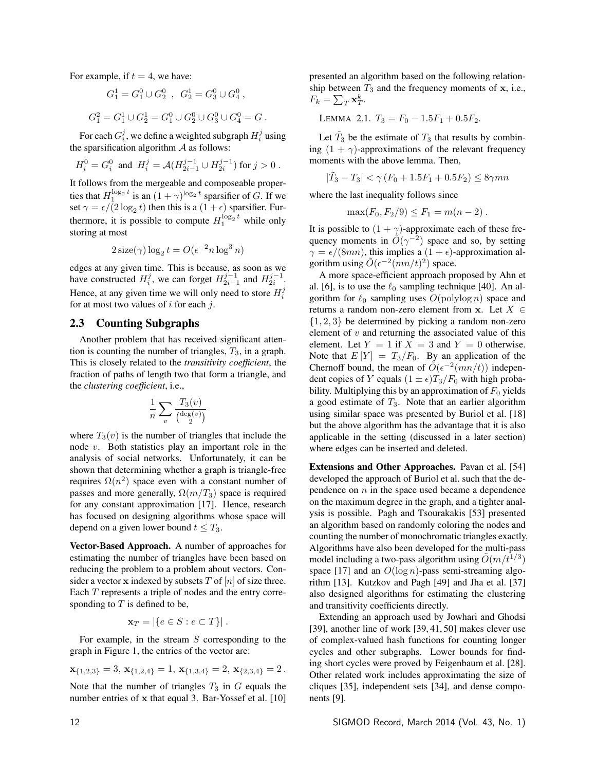For example, if  $t = 4$ , we have:

$$
G_1^1 = G_1^0 \cup G_2^0 , G_2^1 = G_3^0 \cup G_4^0 ,
$$
  

$$
G_1^2 = G_1^1 \cup G_2^1 = G_1^0 \cup G_2^0 \cup G_3^0 \cup G_4^0 = G .
$$

For each  $G_i^j$ , we define a weighted subgraph  $H_i^j$  using the sparsification algorithm  $A$  as follows:

$$
H_i^0 = G_i^0 \text{ and } H_i^j = \mathcal{A}(H_{2i-1}^{j-1} \cup H_{2i}^{j-1}) \text{ for } j > 0.
$$

It follows from the mergeable and composeable properties that  $H_1^{\log_2 t}$  is an  $(1 + \gamma)^{\log_2 t}$  sparsifier of G. If we set  $\gamma = \epsilon/(2 \log_2 t)$  then this is a  $(1 + \epsilon)$  sparsifier. Furthermore, it is possible to compute  $H_1^{\log_2 t}$  while only storing at most

$$
2\operatorname{size}(\gamma)\log_2 t = O(\epsilon^{-2}n\log^3 n)
$$

edges at any given time. This is because, as soon as we have constructed  $H_i^j$ , we can forget  $H_{2i-1}^{j-1}$  and  $H_{2i}^{j-1}$ . Hence, at any given time we will only need to store  $H_i^j$ for at most two values of  $i$  for each  $j$ .

#### 2.3 Counting Subgraphs

Another problem that has received significant attention is counting the number of triangles,  $T_3$ , in a graph. This is closely related to the *transitivity coefficient*, the fraction of paths of length two that form a triangle, and the *clustering coefficient*, i.e.,

$$
\frac{1}{n} \sum_{v} \frac{T_3(v)}{\binom{\deg(v)}{2}}
$$

where  $T_3(v)$  is the number of triangles that include the node  $v$ . Both statistics play an important role in the analysis of social networks. Unfortunately, it can be shown that determining whether a graph is triangle-free requires  $\Omega(n^2)$  space even with a constant number of passes and more generally,  $\Omega(m/T_3)$  space is required for any constant approximation [17]. Hence, research has focused on designing algorithms whose space will depend on a given lower bound  $t \leq T_3$ .

Vector-Based Approach. A number of approaches for estimating the number of triangles have been based on reducing the problem to a problem about vectors. Consider a vector **x** indexed by subsets T of  $[n]$  of size three. Each  $T$  represents a triple of nodes and the entry corresponding to  $T$  is defined to be,

$$
\mathbf{x}_T = |\{e \in S : e \subset T\}|.
$$

For example, in the stream  $S$  corresponding to the graph in Figure 1, the entries of the vector are:

$$
\mathbf{x}_{\{1,2,3\}}=3,\, \mathbf{x}_{\{1,2,4\}}=1,\, \mathbf{x}_{\{1,3,4\}}=2,\, \mathbf{x}_{\{2,3,4\}}=2\, .
$$

Note that the number of triangles  $T_3$  in  $G$  equals the number entries of x that equal 3. Bar-Yossef et al. [10] presented an algorithm based on the following relationship between  $T_3$  and the frequency moments of x, i.e.,  $F_k = \sum_T \mathbf{x}_T^k$ .

LEMMA 2.1. 
$$
T_3 = F_0 - 1.5F_1 + 0.5F_2
$$
.

Let  $\tilde{T}_3$  be the estimate of  $T_3$  that results by combining  $(1 + \gamma)$ -approximations of the relevant frequency moments with the above lemma. Then,

$$
|\tilde{T}_3 - T_3| < \gamma (F_0 + 1.5F_1 + 0.5F_2) \le 8\gamma mn
$$

where the last inequality follows since

$$
\max(F_0, F_2/9) \le F_1 = m(n-2) \ .
$$

It is possible to  $(1 + \gamma)$ -approximate each of these frequency moments in  $\tilde{O}(\gamma^{-2})$  space and so, by setting  $\gamma = \epsilon/(8mn)$ , this implies a  $(1 + \epsilon)$ -approximation algorithm using  $\tilde{O}(\epsilon^{-2}(mn/t)^2)$  space.

A more space-efficient approach proposed by Ahn et al. [6], is to use the  $\ell_0$  sampling technique [40]. An algorithm for  $\ell_0$  sampling uses  $O(polylog n)$  space and returns a random non-zero element from x. Let  $X \in$  $\{1, 2, 3\}$  be determined by picking a random non-zero element of  $v$  and returning the associated value of this element. Let  $Y = 1$  if  $X = 3$  and  $Y = 0$  otherwise. Note that  $E[Y] = T_3/F_0$ . By an application of the Chernoff bound, the mean of  $\tilde{O}(\epsilon^{-2}(mn/t))$  independent copies of Y equals  $(1 \pm \epsilon)T_3/F_0$  with high probability. Multiplying this by an approximation of  $F_0$  yields a good estimate of  $T_3$ . Note that an earlier algorithm using similar space was presented by Buriol et al. [18] but the above algorithm has the advantage that it is also applicable in the setting (discussed in a later section) where edges can be inserted and deleted.

Extensions and Other Approaches. Pavan et al. [54] developed the approach of Buriol et al. such that the dependence on  $n$  in the space used became a dependence on the maximum degree in the graph, and a tighter analysis is possible. Pagh and Tsourakakis [53] presented an algorithm based on randomly coloring the nodes and counting the number of monochromatic triangles exactly. Algorithms have also been developed for the multi-pass model including a two-pass algorithm using  $\tilde{O}(m/t^{1/3})$ space [17] and an  $O(\log n)$ -pass semi-streaming algorithm [13]. Kutzkov and Pagh [49] and Jha et al. [37] also designed algorithms for estimating the clustering and transitivity coefficients directly.

Extending an approach used by Jowhari and Ghodsi [39], another line of work [39, 41, 50] makes clever use of complex-valued hash functions for counting longer cycles and other subgraphs. Lower bounds for finding short cycles were proved by Feigenbaum et al. [28]. Other related work includes approximating the size of cliques [35], independent sets [34], and dense components [9].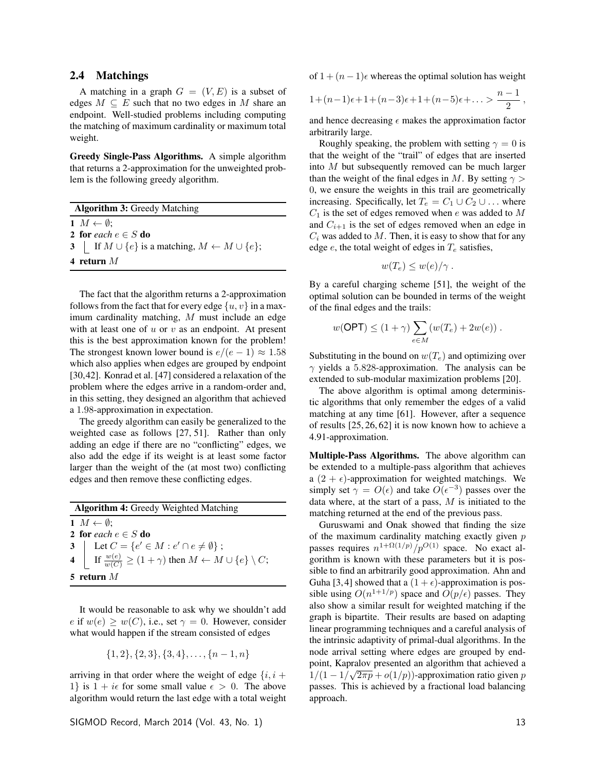# 2.4 Matchings

A matching in a graph  $G = (V, E)$  is a subset of edges  $M \subseteq E$  such that no two edges in M share an endpoint. Well-studied problems including computing the matching of maximum cardinality or maximum total weight.

Greedy Single-Pass Algorithms. A simple algorithm that returns a 2-approximation for the unweighted problem is the following greedy algorithm.

| <b>Algorithm 3: Greedy Matching</b>                               |
|-------------------------------------------------------------------|
| $1 M \leftarrow \emptyset;$                                       |
| 2 for each $e \in S$ do                                           |
| 3   If $M \cup \{e\}$ is a matching, $M \leftarrow M \cup \{e\};$ |
| 4 return $M$                                                      |

The fact that the algorithm returns a 2-approximation follows from the fact that for every edge  $\{u, v\}$  in a maximum cardinality matching, M must include an edge with at least one of  $u$  or  $v$  as an endpoint. At present this is the best approximation known for the problem! The strongest known lower bound is  $e/(e-1) \approx 1.58$ which also applies when edges are grouped by endpoint [30,42]. Konrad et al. [47] considered a relaxation of the problem where the edges arrive in a random-order and, in this setting, they designed an algorithm that achieved a 1.98-approximation in expectation.

The greedy algorithm can easily be generalized to the weighted case as follows [27, 51]. Rather than only adding an edge if there are no "conflicting" edges, we also add the edge if its weight is at least some factor larger than the weight of the (at most two) conflicting edges and then remove these conflicting edges.

Algorithm 4: Greedy Weighted Matching  $1 M \leftarrow \emptyset$ : 2 for *each*  $e \in S$  do<br>3 | Let  $C = \{e' \in$ 3 Let  $C = \{e' \in M : e' \cap e \neq \emptyset\}$ ; 4  $\left[ \text{ If } \frac{w(e)}{w(C)} \ge (1+\gamma) \text{ then } M \leftarrow M \cup \{e\} \setminus C;$ 5 return M

It would be reasonable to ask why we shouldn't add e if  $w(e) \geq w(C)$ , i.e., set  $\gamma = 0$ . However, consider what would happen if the stream consisted of edges

 $\{1, 2\}, \{2, 3\}, \{3, 4\}, \ldots, \{n-1, n\}$ 

arriving in that order where the weight of edge  $\{i, i +$ 1} is  $1 + i\epsilon$  for some small value  $\epsilon > 0$ . The above algorithm would return the last edge with a total weight of  $1 + (n - 1)\epsilon$  whereas the optimal solution has weight

$$
1 + (n-1)\epsilon + 1 + (n-3)\epsilon + 1 + (n-5)\epsilon + \ldots > \frac{n-1}{2},
$$

and hence decreasing  $\epsilon$  makes the approximation factor arbitrarily large.

Roughly speaking, the problem with setting  $\gamma = 0$  is that the weight of the "trail" of edges that are inserted into M but subsequently removed can be much larger than the weight of the final edges in M. By setting  $\gamma$ 0, we ensure the weights in this trail are geometrically increasing. Specifically, let  $T_e = C_1 \cup C_2 \cup \dots$  where  $C_1$  is the set of edges removed when e was added to  $M$ and  $C_{i+1}$  is the set of edges removed when an edge in  $C_i$  was added to  $M$ . Then, it is easy to show that for any edge e, the total weight of edges in  $T_e$  satisfies,

$$
w(T_e) \leq w(e)/\gamma.
$$

By a careful charging scheme [51], the weight of the optimal solution can be bounded in terms of the weight of the final edges and the trails:

$$
w(\mathsf{OPT}) \le (1+\gamma) \sum_{e \in M} (w(T_e) + 2w(e)) \; .
$$

Substituting in the bound on  $w(T_e)$  and optimizing over  $\gamma$  yields a 5.828-approximation. The analysis can be extended to sub-modular maximization problems [20].

The above algorithm is optimal among deterministic algorithms that only remember the edges of a valid matching at any time [61]. However, after a sequence of results [25, 26, 62] it is now known how to achieve a 4.91-approximation.

Multiple-Pass Algorithms. The above algorithm can be extended to a multiple-pass algorithm that achieves a  $(2 + \epsilon)$ -approximation for weighted matchings. We simply set  $\gamma = O(\epsilon)$  and take  $O(\epsilon^{-3})$  passes over the data where, at the start of a pass,  $M$  is initiated to the matching returned at the end of the previous pass.

Guruswami and Onak showed that finding the size of the maximum cardinality matching exactly given  $p$ passes requires  $n^{1+\Omega(1/p)}/p^{O(1)}$  space. No exact algorithm is known with these parameters but it is possible to find an arbitrarily good approximation. Ahn and Guha [3,4] showed that a  $(1 + \epsilon)$ -approximation is possible using  $O(n^{1+1/p})$  space and  $O(p/\epsilon)$  passes. They also show a similar result for weighted matching if the graph is bipartite. Their results are based on adapting linear programming techniques and a careful analysis of the intrinsic adaptivity of primal-dual algorithms. In the node arrival setting where edges are grouped by endpoint, Kapralov presented an algorithm that achieved a  $1/(1 - 1/\sqrt{2\pi p} + o(1/p))$ -approximation ratio given p passes. This is achieved by a fractional load balancing approach.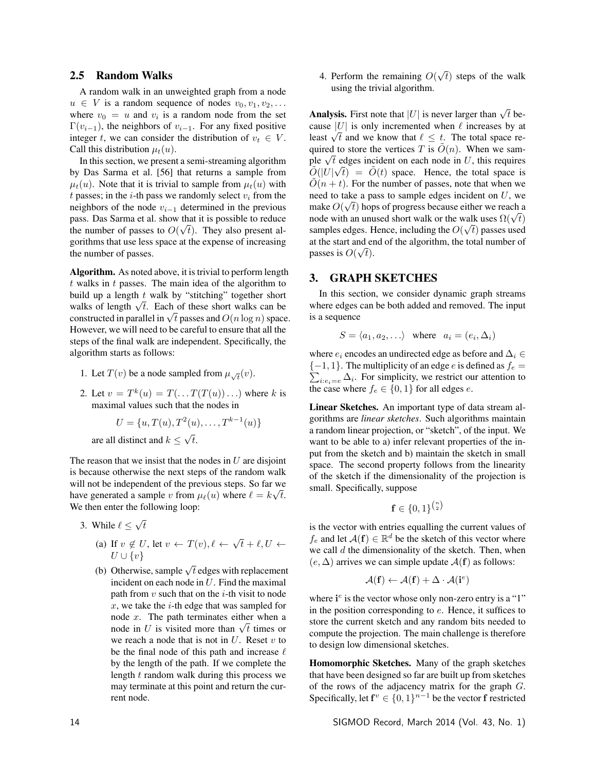### 2.5 Random Walks

A random walk in an unweighted graph from a node  $u \in V$  is a random sequence of nodes  $v_0, v_1, v_2, \ldots$ where  $v_0 = u$  and  $v_i$  is a random node from the set  $\Gamma(v_{i-1})$ , the neighbors of  $v_{i-1}$ . For any fixed positive integer t, we can consider the distribution of  $v_t \in V$ . Call this distribution  $\mu_t(u)$ .

In this section, we present a semi-streaming algorithm by Das Sarma et al. [56] that returns a sample from  $\mu_t(u)$ . Note that it is trivial to sample from  $\mu_t(u)$  with t passes; in the *i*-th pass we randomly select  $v_i$  from the neighbors of the node  $v_{i-1}$  determined in the previous pass. Das Sarma et al. show that it is possible to reduce the number of passes to  $O(\sqrt{t})$ . They also present algorithms that use less space at the expense of increasing the number of passes.

Algorithm. As noted above, it is trivial to perform length  $t$  walks in  $t$  passes. The main idea of the algorithm to build up a length  $t$  walk by "stitching" together short walks of length  $\sqrt{t}$ . Each of these short walks can be constructed in parallel in  $\sqrt{t}$  passes and  $O(n \log n)$  space. However, we will need to be careful to ensure that all the steps of the final walk are independent. Specifically, the algorithm starts as follows:

- 1. Let  $T(v)$  be a node sampled from  $\mu_{\sqrt{t}}(v)$ .
- 2. Let  $v = T^k(u) = T(\dots T(T(u))\dots)$  where k is maximal values such that the nodes in

$$
U = \{u, T(u), T^2(u), \dots, T^{k-1}(u)\}
$$

are all distinct and  $k \leq \sqrt{t}$ .

The reason that we insist that the nodes in  $U$  are disjoint is because otherwise the next steps of the random walk will not be independent of the previous steps. So far we have generated a sample v from  $\mu_{\ell}(u)$  where  $\ell = k\sqrt{t}$ . We then enter the following loop:

- 3. While  $\ell \leq \sqrt{t}$ 
	- (a) If  $v \notin U$ , let  $v \leftarrow T(v)$ ,  $\ell \leftarrow \sqrt{t} + \ell, U \leftarrow$  $U \cup \{v\}$
	- (b) Otherwise, sample  $\sqrt{t}$  edges with replacement incident on each node in  $U$ . Find the maximal path from  $v$  such that on the  $i$ -th visit to node  $x$ , we take the  $i$ -th edge that was sampled for node x. The path terminates either when a node in U is visited more than  $\sqrt{t}$  times or we reach a node that is not in  $U$ . Reset  $v$  to be the final node of this path and increase  $\ell$ by the length of the path. If we complete the length t random walk during this process we may terminate at this point and return the current node.

4. Perform the remaining  $O(\sqrt{t})$  steps of the walk using the trivial algorithm.

Analysis. First note that |U| is never larger than  $\sqrt{t}$  because  $|U|$  is only incremented when  $\ell$  increases by at least  $\sqrt{t}$  and we know that  $\ell \leq t$ . The total space required to store the vertices T is  $\tilde{O}(n)$ . When we sample  $\sqrt{t}$  edges incident on each node in U, this requires  $\tilde{Q}(|U|\sqrt{t}) = \tilde{O}(t)$  space. Hence, the total space is  $\tilde{O}(n + t)$ . For the number of passes, note that when we need to take a pass to sample edges incident on  $U$ , we make  $O(\sqrt{t})$  hops of progress because either we reach a node with an unused short walk or the walk uses  $\Omega(\sqrt{t})$ samples edges. Hence, including the  $O(\sqrt{t})$  passes used at the start and end of the algorithm, the total number of passes is  $O(\sqrt{t})$ .

# 3. GRAPH SKETCHES

In this section, we consider dynamic graph streams where edges can be both added and removed. The input is a sequence

$$
S = \langle a_1, a_2, \ldots \rangle \quad \text{where} \quad a_i = (e_i, \Delta_i)
$$

where  $e_i$  encodes an undirected edge as before and  $\Delta_i \in$  $\sum_{i:e_i=e} \Delta_i$ . For simplicity, we restrict our attention to  ${-1, 1}$ . The multiplicity of an edge e is defined as  $f_e =$ the case where  $f_e \in \{0, 1\}$  for all edges e.

Linear Sketches. An important type of data stream algorithms are *linear sketches*. Such algorithms maintain a random linear projection, or "sketch", of the input. We want to be able to a) infer relevant properties of the input from the sketch and b) maintain the sketch in small space. The second property follows from the linearity of the sketch if the dimensionality of the projection is small. Specifically, suppose

$$
\mathbf{f} \in \{0,1\}^{\binom{n}{2}}
$$

is the vector with entries equalling the current values of  $f_e$  and let  $\mathcal{A}(\mathbf{f}) \in \mathbb{R}^d$  be the sketch of this vector where we call  $d$  the dimensionality of the sketch. Then, when  $(e, \Delta)$  arrives we can simple update  $\mathcal{A}(\mathbf{f})$  as follows:

$$
\mathcal{A}(\mathbf{f}) \leftarrow \mathcal{A}(\mathbf{f}) + \Delta \cdot \mathcal{A}(\mathbf{i}^e)
$$

where  $i^e$  is the vector whose only non-zero entry is a "1" in the position corresponding to  $e$ . Hence, it suffices to store the current sketch and any random bits needed to compute the projection. The main challenge is therefore to design low dimensional sketches.

Homomorphic Sketches. Many of the graph sketches that have been designed so far are built up from sketches of the rows of the adjacency matrix for the graph G. Specifically, let  $\mathbf{f}^v \in \{0,1\}^{n-1}$  be the vector  $\mathbf{f}$  restricted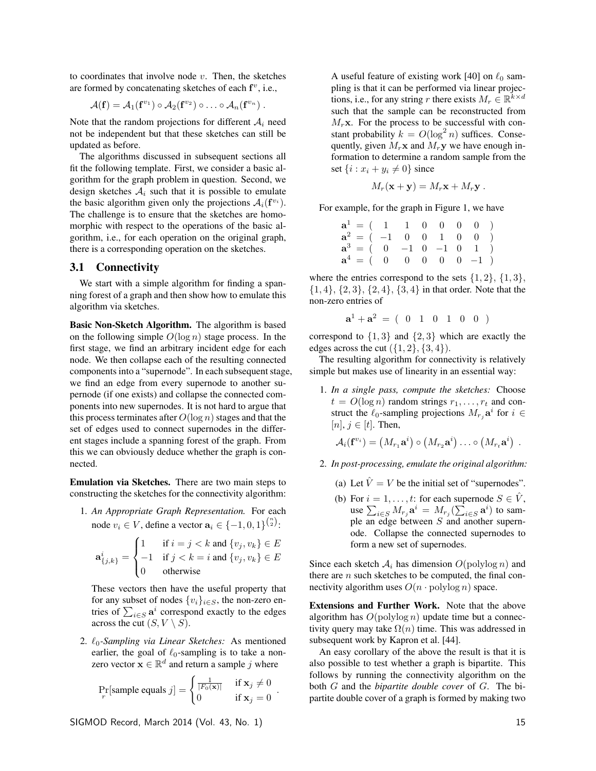to coordinates that involve node  $v$ . Then, the sketches are formed by concatenating sketches of each  $f^v$ , i.e.,

$$
\mathcal{A}(\mathbf{f}) = \mathcal{A}_1(\mathbf{f}^{v_1}) \circ \mathcal{A}_2(\mathbf{f}^{v_2}) \circ \ldots \circ \mathcal{A}_n(\mathbf{f}^{v_n}).
$$

Note that the random projections for different  $A_i$  need not be independent but that these sketches can still be updated as before.

The algorithms discussed in subsequent sections all fit the following template. First, we consider a basic algorithm for the graph problem in question. Second, we design sketches  $A_i$  such that it is possible to emulate the basic algorithm given only the projections  $A_i(\mathbf{f}^{v_i})$ . The challenge is to ensure that the sketches are homomorphic with respect to the operations of the basic algorithm, i.e., for each operation on the original graph, there is a corresponding operation on the sketches.

#### 3.1 Connectivity

We start with a simple algorithm for finding a spanning forest of a graph and then show how to emulate this algorithm via sketches.

Basic Non-Sketch Algorithm. The algorithm is based on the following simple  $O(\log n)$  stage process. In the first stage, we find an arbitrary incident edge for each node. We then collapse each of the resulting connected components into a "supernode". In each subsequent stage, we find an edge from every supernode to another supernode (if one exists) and collapse the connected components into new supernodes. It is not hard to argue that this process terminates after  $O(\log n)$  stages and that the set of edges used to connect supernodes in the different stages include a spanning forest of the graph. From this we can obviously deduce whether the graph is connected.

Emulation via Sketches. There are two main steps to constructing the sketches for the connectivity algorithm:

1. *An Appropriate Graph Representation.* For each node  $v_i \in V$ , define a vector  $\mathbf{a}_i \in \{-1, 0, 1\}^{\binom{n}{2}}$ :

$$
\mathbf{a}_{\{j,k\}}^i = \begin{cases} 1 & \text{if } i = j < k \text{ and } \{v_j, v_k\} \in E \\ -1 & \text{if } j < k = i \text{ and } \{v_j, v_k\} \in E \\ 0 & \text{otherwise} \end{cases}
$$

These vectors then have the useful property that for any subset of nodes  $\{v_i\}_{i \in S}$ , the non-zero entries of  $\sum_{i \in S} \mathbf{a}^i$  correspond exactly to the edges across the cut  $(S, V \setminus S)$ .

2.  $\ell_0$ -Sampling via Linear Sketches: As mentioned earlier, the goal of  $\ell_0$ -sampling is to take a nonzero vector  $\mathbf{x} \in \mathbb{R}^d$  and return a sample j where

$$
\Pr_r[\text{sample equals } j] = \begin{cases} \frac{1}{|F_0(\mathbf{x})|} & \text{if } \mathbf{x}_j \neq 0 \\ 0 & \text{if } \mathbf{x}_j = 0 \end{cases}.
$$

SIGMOD Record, March 2014 (Vol. 43, No. 1) 15

A useful feature of existing work [40] on  $\ell_0$  sampling is that it can be performed via linear projections, i.e., for any string r there exists  $M_r \in \mathbb{R}^{k \times d}$ such that the sample can be reconstructed from  $M_r$ x. For the process to be successful with constant probability  $k = O(\log^2 n)$  suffices. Consequently, given  $M_r$ **x** and  $M_r$ **y** we have enough information to determine a random sample from the set  $\{i : x_i + y_i \neq 0\}$  since

$$
M_r(\mathbf{x} + \mathbf{y}) = M_r \mathbf{x} + M_r \mathbf{y} .
$$

For example, for the graph in Figure 1, we have

| $\mathbf{a}^1 = (1 \ 1 \ 1 \ 0 \ 0 \ 0 \ 0)$                   |  |  |  |  |
|----------------------------------------------------------------|--|--|--|--|
| $a^2 = ( -1 \ 0 \ 0 \ 1 \ 0 \ 0 )$                             |  |  |  |  |
| $\mathbf{a}^3 = (0 \quad -1 \quad 0 \quad -1 \quad 0 \quad 1)$ |  |  |  |  |
| $\mathbf{a}^4 = (0 \ 0 \ 0 \ 0 \ 0 \ -1)$                      |  |  |  |  |

where the entries correspond to the sets  $\{1, 2\}, \{1, 3\},\$  $\{1,4\}, \{2,3\}, \{2,4\}, \{3,4\}$  in that order. Note that the non-zero entries of

$$
\mathbf{a}^1 + \mathbf{a}^2 = (0 \ 1 \ 0 \ 1 \ 0 \ 0)
$$

correspond to  $\{1,3\}$  and  $\{2,3\}$  which are exactly the edges across the cut  $({1, 2}, {3, 4})$ .

The resulting algorithm for connectivity is relatively simple but makes use of linearity in an essential way:

1. *In a single pass, compute the sketches:* Choose  $t = O(\log n)$  random strings  $r_1, \ldots, r_t$  and construct the  $\ell_0$ -sampling projections  $M_{r_j}$ **a**<sup>i</sup> for  $i \in$ [n],  $j \in [t]$ . Then,

$$
\mathcal{A}_i(\mathbf{f}^{v_i}) = (M_{r_1}\mathbf{a}^i) \circ (M_{r_2}\mathbf{a}^i) \ldots \circ (M_{r_t}\mathbf{a}^i) .
$$

- 2. *In post-processing, emulate the original algorithm:*
	- (a) Let  $\hat{V} = V$  be the initial set of "supernodes".
	- (b) For  $i = 1, \ldots, t$ : for each supernode  $S \in \hat{V}$ , use  $\sum_{i \in S} M_{r_i} \mathbf{a}^i = M_{r_j} (\sum_{i \in S} \mathbf{a}^i)$  to sample an edge between  $S$  and another supernode. Collapse the connected supernodes to form a new set of supernodes.

Since each sketch  $A_i$  has dimension  $O(\text{polylog } n)$  and there are  $n$  such sketches to be computed, the final connectivity algorithm uses  $O(n \cdot \text{polylog } n)$  space.

Extensions and Further Work. Note that the above algorithm has  $O(\text{polylog } n)$  update time but a connectivity query may take  $\Omega(n)$  time. This was addressed in subsequent work by Kapron et al. [44].

An easy corollary of the above the result is that it is also possible to test whether a graph is bipartite. This follows by running the connectivity algorithm on the both G and the *bipartite double cover* of G. The bipartite double cover of a graph is formed by making two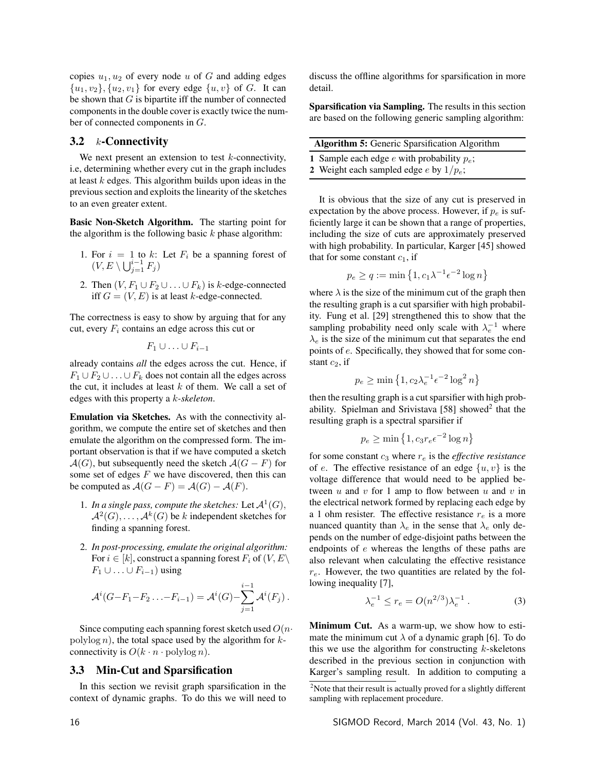copies  $u_1, u_2$  of every node u of G and adding edges  ${u_1, v_2}, {u_2, v_1}$  for every edge  ${u, v}$  of G. It can be shown that  $G$  is bipartite iff the number of connected components in the double cover is exactly twice the number of connected components in G.

# 3.2  $k$ -Connectivity

We next present an extension to test  $k$ -connectivity, i.e, determining whether every cut in the graph includes at least  $k$  edges. This algorithm builds upon ideas in the previous section and exploits the linearity of the sketches to an even greater extent.

Basic Non-Sketch Algorithm. The starting point for the algorithm is the following basic  $k$  phase algorithm:

- 1. For  $i = 1$  to k: Let  $F_i$  be a spanning forest of  $(V, E \setminus \bigcup_{j=1}^{i-1} F_j)$
- 2. Then  $(V, F_1 \cup F_2 \cup \ldots \cup F_k)$  is k-edge-connected iff  $G = (V, E)$  is at least k-edge-connected.

The correctness is easy to show by arguing that for any cut, every  $F_i$  contains an edge across this cut or

$$
F_1\cup\ldots\cup F_{i-1}
$$

already contains *all* the edges across the cut. Hence, if  $F_1 \cup F_2 \cup \ldots \cup F_k$  does not contain all the edges across the cut, it includes at least  $k$  of them. We call a set of edges with this property a k*-skeleton*.

Emulation via Sketches. As with the connectivity algorithm, we compute the entire set of sketches and then emulate the algorithm on the compressed form. The important observation is that if we have computed a sketch  $\mathcal{A}(G)$ , but subsequently need the sketch  $\mathcal{A}(G - F)$  for some set of edges  $F$  we have discovered, then this can be computed as  $\mathcal{A}(G - F) = \mathcal{A}(G) - \mathcal{A}(F)$ .

- 1. *In a single pass, compute the sketches:* Let  $\mathcal{A}^1(G)$ ,  $\mathcal{A}^2(G), \ldots, \mathcal{A}^k(G)$  be k independent sketches for finding a spanning forest.
- 2. *In post-processing, emulate the original algorithm:* For  $i \in [k]$ , construct a spanning forest  $F_i$  of  $(V, E \setminus$  $F_1 \cup \ldots \cup F_{i-1}$ ) using

$$
\mathcal{A}^i(G-F_1-F_2\ldots-F_{i-1})=\mathcal{A}^i(G)-\sum_{j=1}^{i-1}\mathcal{A}^i(F_j).
$$

Since computing each spanning forest sketch used  $O(n \cdot$ polylog *n*), the total space used by the algorithm for  $k$ connectivity is  $O(k \cdot n \cdot \text{polylog } n)$ .

#### 3.3 Min-Cut and Sparsification

In this section we revisit graph sparsification in the context of dynamic graphs. To do this we will need to discuss the offline algorithms for sparsification in more detail.

Sparsification via Sampling. The results in this section are based on the following generic sampling algorithm:

| <b>Algorithm 5: Generic Sparsification Algorithm</b> |  |  |  |  |
|------------------------------------------------------|--|--|--|--|
| 1 Sample each edge e with probability $p_e$ ;        |  |  |  |  |
| 2 Weight each sampled edge e by $1/p_e$ ;            |  |  |  |  |

It is obvious that the size of any cut is preserved in expectation by the above process. However, if  $p_e$  is sufficiently large it can be shown that a range of properties, including the size of cuts are approximately preserved with high probability. In particular, Karger [45] showed that for some constant  $c_1$ , if

$$
p_e \geq q := \min\left\{1, c_1 \lambda^{-1}\epsilon^{-2}\log n\right\}
$$

where  $\lambda$  is the size of the minimum cut of the graph then the resulting graph is a cut sparsifier with high probability. Fung et al. [29] strengthened this to show that the sampling probability need only scale with  $\lambda_e^{-1}$  where  $\lambda_e$  is the size of the minimum cut that separates the end points of e. Specifically, they showed that for some constant  $c_2$ , if

$$
p_e \ge \min\left\{1, c_2 \lambda_e^{-1} \epsilon^{-2} \log^2 n\right\}
$$

then the resulting graph is a cut sparsifier with high probability. Spielman and Srivistava [58] showed<sup>2</sup> that the resulting graph is a spectral sparsifier if

$$
p_e \geq \min\left\{1, c_3r_e\epsilon^{-2}\log n\right\}
$$

for some constant  $c_3$  where  $r_e$  is the *effective resistance* of e. The effective resistance of an edge  $\{u, v\}$  is the voltage difference that would need to be applied between u and v for 1 amp to flow between u and v in the electrical network formed by replacing each edge by a 1 ohm resister. The effective resistance  $r_e$  is a more nuanced quantity than  $\lambda_e$  in the sense that  $\lambda_e$  only depends on the number of edge-disjoint paths between the endpoints of e whereas the lengths of these paths are also relevant when calculating the effective resistance  $r_e$ . However, the two quantities are related by the following inequality [7],

$$
\lambda_e^{-1} \le r_e = O(n^{2/3})\lambda_e^{-1} \,. \tag{3}
$$

Minimum Cut. As a warm-up, we show how to estimate the minimum cut  $\lambda$  of a dynamic graph [6]. To do this we use the algorithm for constructing  $k$ -skeletons described in the previous section in conjunction with Karger's sampling result. In addition to computing a

<sup>&</sup>lt;sup>2</sup>Note that their result is actually proved for a slightly different sampling with replacement procedure.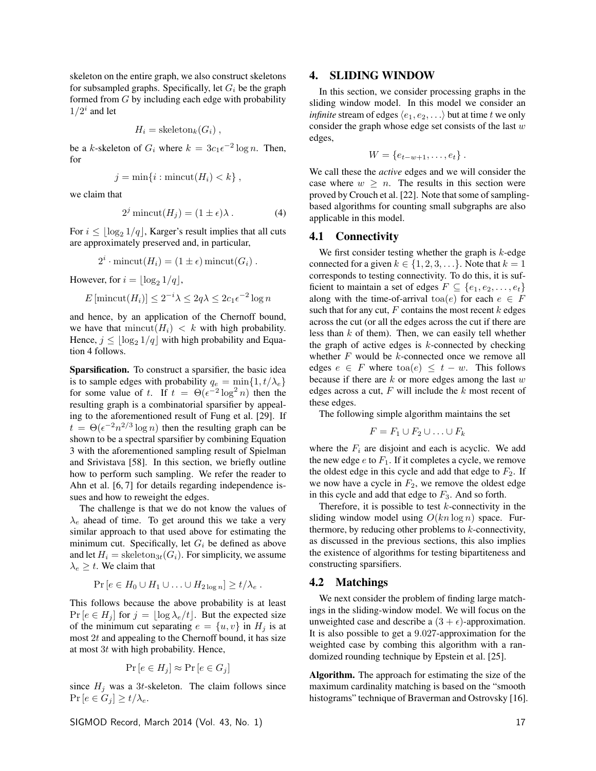skeleton on the entire graph, we also construct skeletons for subsampled graphs. Specifically, let  $G_i$  be the graph formed from  $G$  by including each edge with probability  $1/2^i$  and let

$$
H_i = \operatorname{skeleton}_k(G_i) ,
$$

be a k-skeleton of  $G_i$  where  $k = 3c_1 \epsilon^{-2} \log n$ . Then, for

$$
j = \min\{i : \text{mincut}(H_i) < k\},\
$$

we claim that

$$
2j \text{mincut}(H_j) = (1 \pm \epsilon)\lambda. \tag{4}
$$

For  $i \leq \lfloor \log_2 1/q \rfloor$ , Karger's result implies that all cuts are approximately preserved and, in particular,

$$
2i \cdot \text{mincut}(H_i) = (1 \pm \epsilon) \text{mincut}(G_i) .
$$

However, for  $i = |\log_2 1/q|$ ,

$$
E\left[\text{mincut}(H_i)\right] \le 2^{-i}\lambda \le 2q\lambda \le 2c_1\epsilon^{-2}\log n
$$

and hence, by an application of the Chernoff bound, we have that  $\text{mincut}(H_i) < k$  with high probability. Hence,  $j \leq |\log_2 1/q|$  with high probability and Equation 4 follows.

Sparsification. To construct a sparsifier, the basic idea is to sample edges with probability  $q_e = \min\{1, t/\lambda_e\}$ for some value of t. If  $t = \Theta(\epsilon^{-2} \log^2 n)$  then the resulting graph is a combinatorial sparsifier by appealing to the aforementioned result of Fung et al. [29]. If  $t = \Theta(\epsilon^{-2} n^{2/3} \log n)$  then the resulting graph can be shown to be a spectral sparsifier by combining Equation 3 with the aforementioned sampling result of Spielman and Srivistava [58]. In this section, we briefly outline how to perform such sampling. We refer the reader to Ahn et al. [6, 7] for details regarding independence issues and how to reweight the edges.

The challenge is that we do not know the values of  $\lambda_e$  ahead of time. To get around this we take a very similar approach to that used above for estimating the minimum cut. Specifically, let  $G_i$  be defined as above and let  $H_i = \text{skeleton}_{3t}(G_i)$ . For simplicity, we assume  $\lambda_e \geq t$ . We claim that

$$
\Pr\left[e \in H_0 \cup H_1 \cup \ldots \cup H_{2\log n}\right] \geq t/\lambda_e.
$$

This follows because the above probability is at least  $\Pr\left[e \in H_j\right]$  for  $j = \lfloor \log \lambda_e/t \rfloor$ . But the expected size of the minimum cut separating  $e = \{u, v\}$  in  $H_i$  is at most  $2t$  and appealing to the Chernoff bound, it has size at most 3t with high probability. Hence,

$$
\Pr\left[e \in H_j\right] \approx \Pr\left[e \in G_j\right]
$$

since  $H_j$  was a 3t-skeleton. The claim follows since  $\Pr\left[e \in G_i\right] \geq t/\lambda_e.$ 

SIGMOD Record, March 2014 (Vol. 43, No. 1) 17

#### 4. SLIDING WINDOW

In this section, we consider processing graphs in the sliding window model. In this model we consider an *infinite* stream of edges  $\langle e_1, e_2, \ldots \rangle$  but at time t we only consider the graph whose edge set consists of the last  $w$ edges,

$$
W = \{e_{t-w+1},\ldots,e_t\}.
$$

We call these the *active* edges and we will consider the case where  $w \geq n$ . The results in this section were proved by Crouch et al. [22]. Note that some of samplingbased algorithms for counting small subgraphs are also applicable in this model.

#### 4.1 Connectivity

We first consider testing whether the graph is  $k$ -edge connected for a given  $k \in \{1, 2, 3, \ldots\}$ . Note that  $k = 1$ corresponds to testing connectivity. To do this, it is sufficient to maintain a set of edges  $F \subseteq \{e_1, e_2, \ldots, e_t\}$ along with the time-of-arrival toa(e) for each  $e \in F$ such that for any cut,  $F$  contains the most recent  $k$  edges across the cut (or all the edges across the cut if there are less than  $k$  of them). Then, we can easily tell whether the graph of active edges is  $k$ -connected by checking whether  $F$  would be  $k$ -connected once we remove all edges  $e \in F$  where  $\text{toa}(e) \leq t - w$ . This follows because if there are  $k$  or more edges among the last  $w$ edges across a cut,  $F$  will include the  $k$  most recent of these edges.

The following simple algorithm maintains the set

$$
F = F_1 \cup F_2 \cup \ldots \cup F_k
$$

where the  $F_i$  are disjoint and each is acyclic. We add the new edge  $e$  to  $F_1$ . If it completes a cycle, we remove the oldest edge in this cycle and add that edge to  $F_2$ . If we now have a cycle in  $F_2$ , we remove the oldest edge in this cycle and add that edge to  $F_3$ . And so forth.

Therefore, it is possible to test  $k$ -connectivity in the sliding window model using  $O(kn \log n)$  space. Furthermore, by reducing other problems to  $k$ -connectivity, as discussed in the previous sections, this also implies the existence of algorithms for testing bipartiteness and constructing sparsifiers.

#### 4.2 Matchings

We next consider the problem of finding large matchings in the sliding-window model. We will focus on the unweighted case and describe a  $(3 + \epsilon)$ -approximation. It is also possible to get a 9.027-approximation for the weighted case by combing this algorithm with a randomized rounding technique by Epstein et al. [25].

Algorithm. The approach for estimating the size of the maximum cardinality matching is based on the "smooth histograms" technique of Braverman and Ostrovsky [16].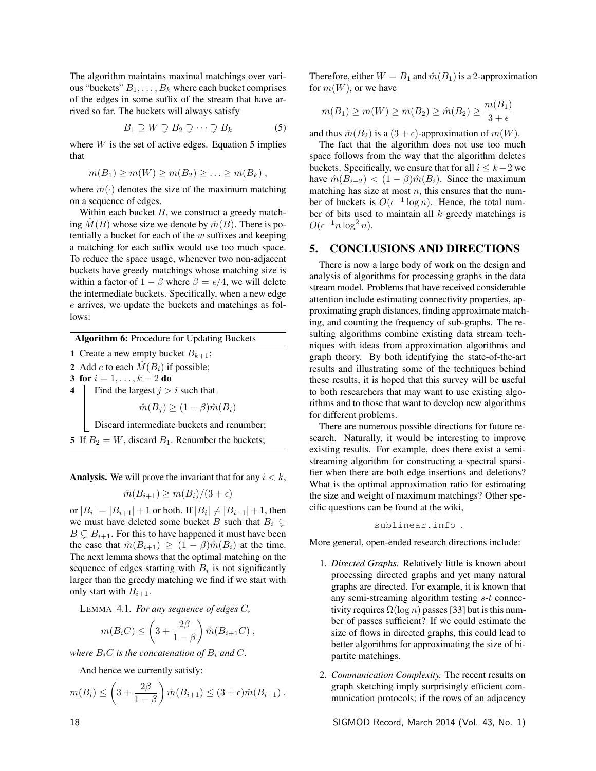The algorithm maintains maximal matchings over various "buckets"  $B_1, \ldots, B_k$  where each bucket comprises of the edges in some suffix of the stream that have arrived so far. The buckets will always satisfy

$$
B_1 \supseteq W \supsetneq B_2 \supsetneq \cdots \supsetneq B_k \tag{5}
$$

where  $W$  is the set of active edges. Equation 5 implies that

$$
m(B_1) \ge m(W) \ge m(B_2) \ge \ldots \ge m(B_k),
$$

where  $m(\cdot)$  denotes the size of the maximum matching on a sequence of edges.

Within each bucket  $B$ , we construct a greedy matching  $\hat{M}(B)$  whose size we denote by  $\hat{m}(B)$ . There is potentially a bucket for each of the  $w$  suffixes and keeping a matching for each suffix would use too much space. To reduce the space usage, whenever two non-adjacent buckets have greedy matchings whose matching size is within a factor of  $1 - \beta$  where  $\beta = \epsilon/4$ , we will delete the intermediate buckets. Specifically, when a new edge e arrives, we update the buckets and matchings as follows:

| <b>Algorithm 6: Procedure for Updating Buckets</b> |  |  |  |  |
|----------------------------------------------------|--|--|--|--|
|----------------------------------------------------|--|--|--|--|

- 1 Create a new empty bucket  $B_{k+1}$ ;
- 2 Add e to each  $\tilde{M}(B_i)$  if possible;

3 for  $i = 1, ..., k - 2$  do<br>4 | Find the largest  $i >$ 

Find the largest  $j > i$  such that

 $\hat{m}(B_i) \geq (1 - \beta)\hat{m}(B_i)$ 

Discard intermediate buckets and renumber;

5 If  $B_2 = W$ , discard  $B_1$ . Renumber the buckets;

**Analysis.** We will prove the invariant that for any  $i < k$ ,

$$
\hat{m}(B_{i+1}) \ge m(B_i)/(3+\epsilon)
$$

or  $|B_i| = |B_{i+1}| + 1$  or both. If  $|B_i| \neq |B_{i+1}| + 1$ , then we must have deleted some bucket B such that  $B_i \subsetneq$  $B \subsetneq B_{i+1}$ . For this to have happened it must have been the case that  $\hat{m}(B_{i+1}) \geq (1 - \beta)\hat{m}(B_i)$  at the time. The next lemma shows that the optimal matching on the sequence of edges starting with  $B_i$  is not significantly larger than the greedy matching we find if we start with only start with  $B_{i+1}$ .

LEMMA 4.1. *For any sequence of edges* C*,*

$$
m(B_iC) \le \left(3 + \frac{2\beta}{1-\beta}\right)\hat{m}(B_{i+1}C) ,
$$

*where*  $B_iC$  *is the concatenation of*  $B_i$  *and*  $C$ *.* 

And hence we currently satisfy:

$$
m(B_i) \le \left(3 + \frac{2\beta}{1-\beta}\right) \hat{m}(B_{i+1}) \le (3 + \epsilon)\hat{m}(B_{i+1}).
$$

Therefore, either  $W = B_1$  and  $\hat{m}(B_1)$  is a 2-approximation for  $m(W)$ , or we have

$$
m(B_1) \ge m(W) \ge m(B_2) \ge \hat{m}(B_2) \ge \frac{m(B_1)}{3+\epsilon}
$$

and thus  $\hat{m}(B_2)$  is a  $(3 + \epsilon)$ -approximation of  $m(W)$ .

The fact that the algorithm does not use too much space follows from the way that the algorithm deletes buckets. Specifically, we ensure that for all  $i \leq k-2$  we have  $\hat{m}(B_{i+2}) < (1 - \beta)\hat{m}(B_i)$ . Since the maximum matching has size at most  $n$ , this ensures that the number of buckets is  $O(\epsilon^{-1} \log n)$ . Hence, the total number of bits used to maintain all  $k$  greedy matchings is  $O(\epsilon^{-1} n \log^2 n).$ 

#### 5. CONCLUSIONS AND DIRECTIONS

There is now a large body of work on the design and analysis of algorithms for processing graphs in the data stream model. Problems that have received considerable attention include estimating connectivity properties, approximating graph distances, finding approximate matching, and counting the frequency of sub-graphs. The resulting algorithms combine existing data stream techniques with ideas from approximation algorithms and graph theory. By both identifying the state-of-the-art results and illustrating some of the techniques behind these results, it is hoped that this survey will be useful to both researchers that may want to use existing algorithms and to those that want to develop new algorithms for different problems.

There are numerous possible directions for future research. Naturally, it would be interesting to improve existing results. For example, does there exist a semistreaming algorithm for constructing a spectral sparsifier when there are both edge insertions and deletions? What is the optimal approximation ratio for estimating the size and weight of maximum matchings? Other specific questions can be found at the wiki,

sublinear.info .

More general, open-ended research directions include:

- 1. *Directed Graphs.* Relatively little is known about processing directed graphs and yet many natural graphs are directed. For example, it is known that any semi-streaming algorithm testing s-t connectivity requires  $\Omega(\log n)$  passes [33] but is this number of passes sufficient? If we could estimate the size of flows in directed graphs, this could lead to better algorithms for approximating the size of bipartite matchings.
- 2. *Communication Complexity.* The recent results on graph sketching imply surprisingly efficient communication protocols; if the rows of an adjacency

18 SIGMOD Record, March 2014 (Vol. 43, No. 1)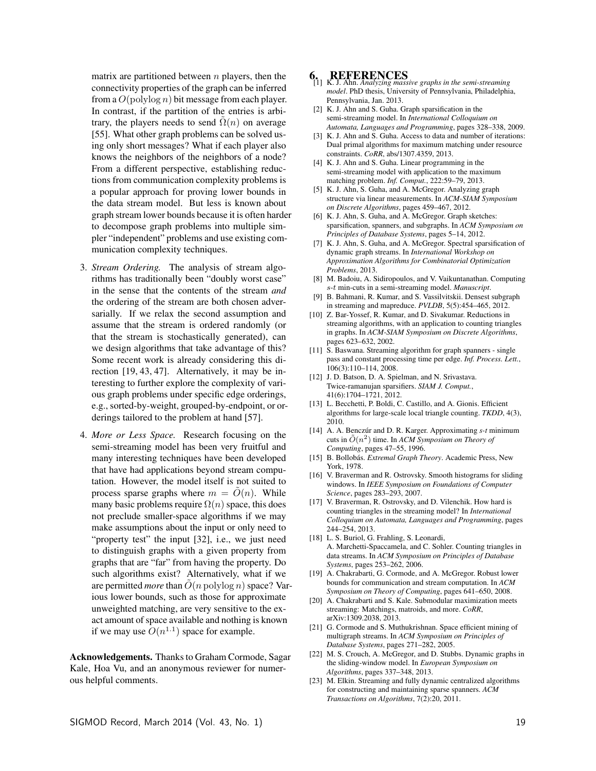matrix are partitioned between  $n$  players, then the connectivity properties of the graph can be inferred from a  $O(polylog n)$  bit message from each player. In contrast, if the partition of the entries is arbitrary, the players needs to send  $\Omega(n)$  on average [55]. What other graph problems can be solved using only short messages? What if each player also knows the neighbors of the neighbors of a node? From a different perspective, establishing reductions from communication complexity problems is a popular approach for proving lower bounds in the data stream model. But less is known about graph stream lower bounds because it is often harder to decompose graph problems into multiple simpler "independent" problems and use existing communication complexity techniques.

- 3. *Stream Ordering.* The analysis of stream algorithms has traditionally been "doubly worst case" in the sense that the contents of the stream *and* the ordering of the stream are both chosen adversarially. If we relax the second assumption and assume that the stream is ordered randomly (or that the stream is stochastically generated), can we design algorithms that take advantage of this? Some recent work is already considering this direction [19, 43, 47]. Alternatively, it may be interesting to further explore the complexity of various graph problems under specific edge orderings, e.g., sorted-by-weight, grouped-by-endpoint, or orderings tailored to the problem at hand [57].
- 4. *More or Less Space.* Research focusing on the semi-streaming model has been very fruitful and many interesting techniques have been developed that have had applications beyond stream computation. However, the model itself is not suited to process sparse graphs where  $m = O(n)$ . While many basic problems require  $\Omega(n)$  space, this does not preclude smaller-space algorithms if we may make assumptions about the input or only need to "property test" the input [32], i.e., we just need to distinguish graphs with a given property from graphs that are "far" from having the property. Do such algorithms exist? Alternatively, what if we are permitted *more* than  $\tilde{O}(n \text{ polylog } n)$  space? Various lower bounds, such as those for approximate unweighted matching, are very sensitive to the exact amount of space available and nothing is known if we may use  $O(n^{1.1})$  space for example.

Acknowledgements. Thanks to Graham Cormode, Sagar Kale, Hoa Vu, and an anonymous reviewer for numerous helpful comments.

- 6. REFERENCES [1] K. J. Ahn. *Analyzing massive graphs in the semi-streaming model*. PhD thesis, University of Pennsylvania, Philadelphia, Pennsylvania, Jan. 2013.
- [2] K. J. Ahn and S. Guha. Graph sparsification in the semi-streaming model. In *International Colloquium on Automata, Languages and Programming*, pages 328–338, 2009.
- [3] K. J. Ahn and S. Guha. Access to data and number of iterations: Dual primal algorithms for maximum matching under resource constraints. *CoRR*, abs/1307.4359, 2013.
- [4] K. J. Ahn and S. Guha. Linear programming in the semi-streaming model with application to the maximum matching problem. *Inf. Comput.*, 222:59–79, 2013.
- [5] K. J. Ahn, S. Guha, and A. McGregor. Analyzing graph structure via linear measurements. In *ACM-SIAM Symposium on Discrete Algorithms*, pages 459–467, 2012.
- [6] K. J. Ahn, S. Guha, and A. McGregor. Graph sketches: sparsification, spanners, and subgraphs. In *ACM Symposium on Principles of Database Systems*, pages 5–14, 2012.
- [7] K. J. Ahn, S. Guha, and A. McGregor. Spectral sparsification of dynamic graph streams. In *International Workshop on Approximation Algorithms for Combinatorial Optimization Problems*, 2013.
- [8] M. Badoiu, A. Sidiropoulos, and V. Vaikuntanathan. Computing s-t min-cuts in a semi-streaming model. *Manuscript*.
- [9] B. Bahmani, R. Kumar, and S. Vassilvitskii. Densest subgraph in streaming and mapreduce. *PVLDB*, 5(5):454–465, 2012.
- [10] Z. Bar-Yossef, R. Kumar, and D. Sivakumar. Reductions in streaming algorithms, with an application to counting triangles in graphs. In *ACM-SIAM Symposium on Discrete Algorithms*, pages 623–632, 2002.
- [11] S. Baswana. Streaming algorithm for graph spanners single pass and constant processing time per edge. *Inf. Process. Lett.*, 106(3):110–114, 2008.
- [12] J. D. Batson, D. A. Spielman, and N. Srivastava. Twice-ramanujan sparsifiers. *SIAM J. Comput.*, 41(6):1704–1721, 2012.
- [13] L. Becchetti, P. Boldi, C. Castillo, and A. Gionis. Efficient algorithms for large-scale local triangle counting. *TKDD*, 4(3), 2010.
- [14] A. A. Benczúr and D. R. Karger. Approximating  $s$ -t minimum cuts in  $\tilde{O}(n^2)$  time. In *ACM Symposium on Theory of Computing*, pages 47–55, 1996.
- [15] B. Bollobás. *Extremal Graph Theory*. Academic Press, New York, 1978.
- [16] V. Braverman and R. Ostrovsky. Smooth histograms for sliding windows. In *IEEE Symposium on Foundations of Computer Science*, pages 283–293, 2007.
- [17] V. Braverman, R. Ostrovsky, and D. Vilenchik. How hard is counting triangles in the streaming model? In *International Colloquium on Automata, Languages and Programming*, pages 244–254, 2013.
- [18] L. S. Buriol, G. Frahling, S. Leonardi, A. Marchetti-Spaccamela, and C. Sohler. Counting triangles in data streams. In *ACM Symposium on Principles of Database Systems*, pages 253–262, 2006.
- [19] A. Chakrabarti, G. Cormode, and A. McGregor. Robust lower bounds for communication and stream computation. In *ACM Symposium on Theory of Computing*, pages 641–650, 2008.
- [20] A. Chakrabarti and S. Kale. Submodular maximization meets streaming: Matchings, matroids, and more. *CoRR*, arXiv:1309.2038, 2013.
- [21] G. Cormode and S. Muthukrishnan. Space efficient mining of multigraph streams. In *ACM Symposium on Principles of Database Systems*, pages 271–282, 2005.
- [22] M. S. Crouch, A. McGregor, and D. Stubbs. Dynamic graphs in the sliding-window model. In *European Symposium on Algorithms*, pages 337–348, 2013.
- [23] M. Elkin. Streaming and fully dynamic centralized algorithms for constructing and maintaining sparse spanners. *ACM Transactions on Algorithms*, 7(2):20, 2011.